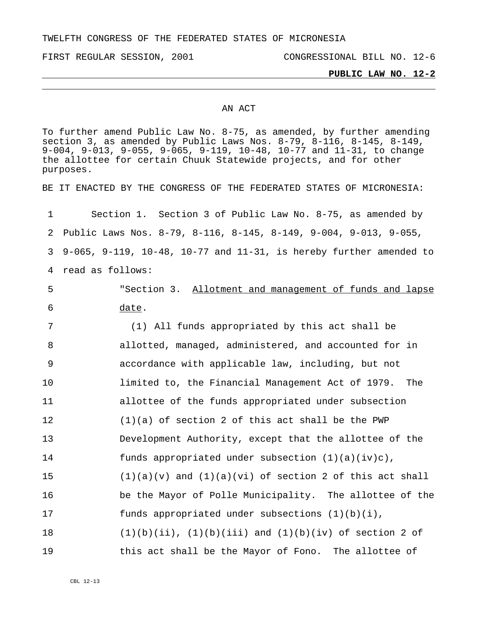TWELFTH CONGRESS OF THE FEDERATED STATES OF MICRONESIA

FIRST REGULAR SESSION, 2001 CONGRESSIONAL BILL NO. 12-6

## **PUBLIC LAW NO. 12-2**

## AN ACT

To further amend Public Law No. 8-75, as amended, by further amending section 3, as amended by Public Laws Nos. 8-79, 8-116, 8-145, 8-149, 9-004, 9-013, 9-055, 9-065, 9-119, 10-48, 10-77 and 11-31, to change the allottee for certain Chuuk Statewide projects, and for other purposes. BE IT ENACTED BY THE CONGRESS OF THE FEDERATED STATES OF MICRONESIA: 1 2 3 4 read as follows: Section 1. Section 3 of Public Law No. 8-75, as amended by Public Laws Nos. 8-79, 8-116, 8-145, 8-149, 9-004, 9-013, 9-055, 9-065, 9-119, 10-48, 10-77 and 11-31, is hereby further amended to "Section 3. Allotment and management of funds and lapse date. 5 6 7 8 9 10 11 12 13 14 15 16 17 18 19 (1) All funds appropriated by this act shall be allotted, managed, administered, and accounted for in accordance with applicable law, including, but not limited to, the Financial Management Act of 1979. The allottee of the funds appropriated under subsection (1)(a) of section 2 of this act shall be the PWP Development Authority, except that the allottee of the funds appropriated under subsection  $(1)(a)(iv)c)$ ,  $(1)(a)(v)$  and  $(1)(a)(vi)$  of section 2 of this act shall be the Mayor of Polle Municipality. The allottee of the funds appropriated under subsections  $(1)(b)(i)$ ,  $(1)(b)(ii)$ ,  $(1)(b)(iii)$  and  $(1)(b)(iv)$  of section 2 of this act shall be the Mayor of Fono. The allottee of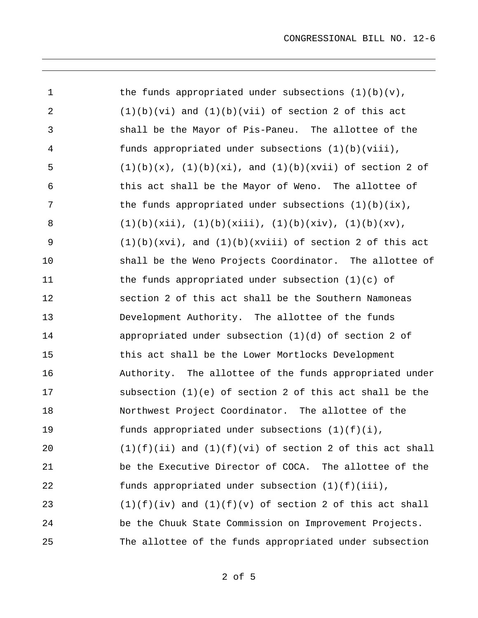| $\mathbf 1$ | the funds appropriated under subsections $(1)(b)(v)$ ,          |
|-------------|-----------------------------------------------------------------|
| 2           | $(1)(b)(vi)$ and $(1)(b)(vii)$ of section 2 of this act         |
| 3           | shall be the Mayor of Pis-Paneu. The allottee of the            |
| 4           | funds appropriated under subsections (1)(b)(viii),              |
| 5           | $(1)(b)(x)$ , $(1)(b)(xi)$ , and $(1)(b)(xvii)$ of section 2 of |
| 6           | this act shall be the Mayor of Weno. The allottee of            |
| 7           | the funds appropriated under subsections $(1)(b)(ix)$ ,         |
| 8           | $(1)(b)(xii)$ , $(1)(b)(xiii)$ , $(1)(b)(xiv)$ , $(1)(b)(xv)$ , |
| 9           | $(1)(b)(xvi)$ , and $(1)(b)(xviii)$ of section 2 of this act    |
| 10          | shall be the Weno Projects Coordinator. The allottee of         |
| 11          | the funds appropriated under subsection $(1)(c)$ of             |
| 12          | section 2 of this act shall be the Southern Namoneas            |
| 13          | Development Authority. The allottee of the funds                |
| 14          | appropriated under subsection (1)(d) of section 2 of            |
| 15          | this act shall be the Lower Mortlocks Development               |
| 16          | Authority. The allottee of the funds appropriated under         |
| 17          | subsection $(1)(e)$ of section 2 of this act shall be the       |
| 18          | Northwest Project Coordinator. The allottee of the              |
| 19          | funds appropriated under subsections $(1)(f)(i)$ ,              |
| 20          | $(1)(f)(ii)$ and $(1)(f)(vi)$ of section 2 of this act shall    |
| 21          | be the Executive Director of COCA. The allottee of the          |
| 22          | funds appropriated under subsection $(1)(f)(iii)$ ,             |
| 23          | $(1)(f)(iv)$ and $(1)(f)(v)$ of section 2 of this act shall     |
| 24          | be the Chuuk State Commission on Improvement Projects.          |
| 25          | The allottee of the funds appropriated under subsection         |

2 of 5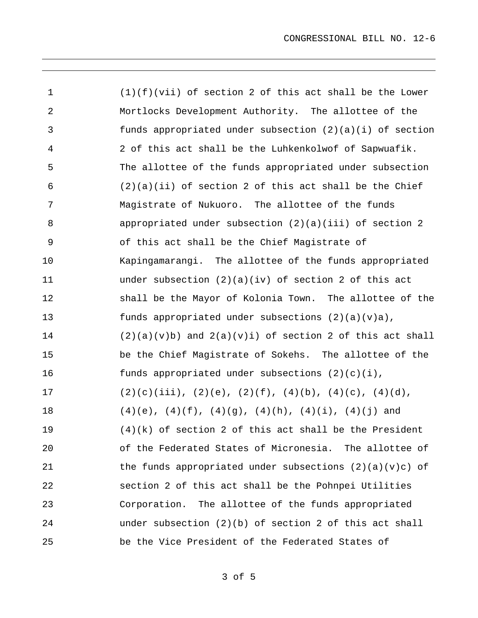| 1              | $(1)(f)(vii)$ of section 2 of this act shall be the Lower           |
|----------------|---------------------------------------------------------------------|
| 2              | Mortlocks Development Authority. The allottee of the                |
| 3              | funds appropriated under subsection $(2)(a)(i)$ of section          |
| $\overline{4}$ | 2 of this act shall be the Luhkenkolwof of Sapwuafik.               |
| 5              | The allottee of the funds appropriated under subsection             |
| 6              | $(2)(a)(ii)$ of section 2 of this act shall be the Chief            |
| 7              | Magistrate of Nukuoro. The allottee of the funds                    |
| 8              | appropriated under subsection $(2)(a)(iii)$ of section 2            |
| 9              | of this act shall be the Chief Magistrate of                        |
| 10             | Kapingamarangi. The allottee of the funds appropriated              |
| 11             | under subsection $(2)(a)(iv)$ of section 2 of this act              |
| 12             | shall be the Mayor of Kolonia Town. The allottee of the             |
| 13             | funds appropriated under subsections $(2)(a)(v)a)$ ,                |
| 14             | $(2)(a)(v)b)$ and $2(a)(v)i)$ of section 2 of this act shall        |
| 15             | be the Chief Magistrate of Sokehs. The allottee of the              |
| 16             | funds appropriated under subsections $(2)(c)(i)$ ,                  |
| 17             | $(2)(c)(iii), (2)(e), (2)(f), (4)(b), (4)(c), (4)(d),$              |
| $18\,$         | $(4)(e)$ , $(4)(f)$ , $(4)(g)$ , $(4)(h)$ , $(4)(i)$ , $(4)(j)$ and |
| 19             | $(4)(k)$ of section 2 of this act shall be the President            |
| 20             | of the Federated States of Micronesia. The allottee of              |
| 21             | the funds appropriated under subsections $(2)(a)(v)c)$ of           |
| 22             | section 2 of this act shall be the Pohnpei Utilities                |
| 23             | Corporation. The allottee of the funds appropriated                 |
| 24             | under subsection $(2)(b)$ of section 2 of this act shall            |
| 25             | be the Vice President of the Federated States of                    |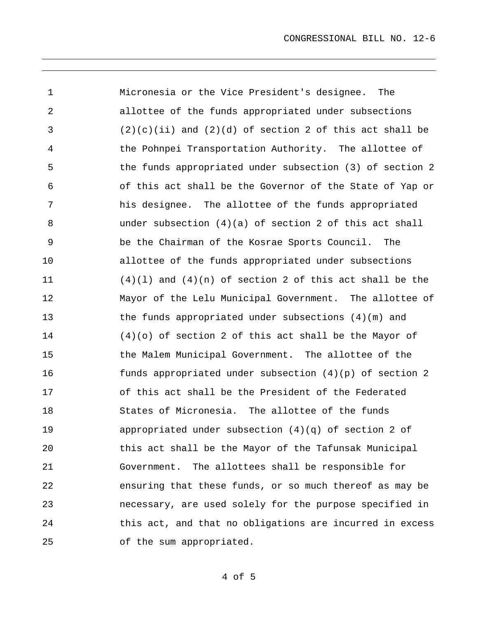1 2 3 4 5 6 7 8 9 10 11 12 13 14 15 16 17 18 19 20 21 22 23 24 25 Micronesia or the Vice President's designee. The allottee of the funds appropriated under subsections  $(2)(c)(ii)$  and  $(2)(d)$  of section 2 of this act shall be the Pohnpei Transportation Authority. The allottee of the funds appropriated under subsection (3) of section 2 of this act shall be the Governor of the State of Yap or his designee. The allottee of the funds appropriated under subsection  $(4)(a)$  of section 2 of this act shall be the Chairman of the Kosrae Sports Council. The allottee of the funds appropriated under subsections  $(4)(1)$  and  $(4)(n)$  of section 2 of this act shall be the Mayor of the Lelu Municipal Government. The allottee of the funds appropriated under subsections (4)(m) and (4)(o) of section 2 of this act shall be the Mayor of the Malem Municipal Government. The allottee of the funds appropriated under subsection (4)(p) of section 2 of this act shall be the President of the Federated States of Micronesia. The allottee of the funds appropriated under subsection  $(4)(q)$  of section 2 of this act shall be the Mayor of the Tafunsak Municipal Government. The allottees shall be responsible for ensuring that these funds, or so much thereof as may be necessary, are used solely for the purpose specified in this act, and that no obligations are incurred in excess of the sum appropriated.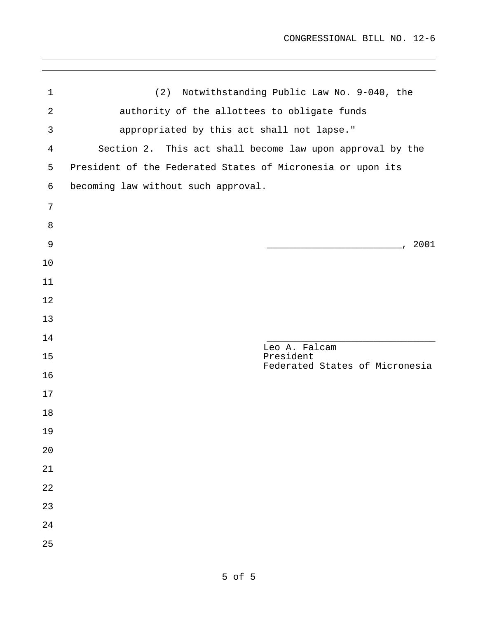| $\mathbf 1$    | (2) Notwithstanding Public Law No. 9-040, the               |
|----------------|-------------------------------------------------------------|
| $\overline{2}$ | authority of the allottees to obligate funds                |
| 3              | appropriated by this act shall not lapse."                  |
| $\overline{4}$ | Section 2. This act shall become law upon approval by the   |
| 5              | President of the Federated States of Micronesia or upon its |
| 6              | becoming law without such approval.                         |
| 7              |                                                             |
| 8              |                                                             |
| $\mathsf 9$    | 2001<br>the control of the control of the control of        |
| 10             |                                                             |
| 11             |                                                             |
| 12             |                                                             |
| 13             |                                                             |
| 14             | Leo A. Falcam                                               |
| 15             | President<br>Federated States of Micronesia                 |
| 16             |                                                             |
| 17             |                                                             |
| 18             |                                                             |
| 19             |                                                             |
| 20             |                                                             |
| 21             |                                                             |
| 22             |                                                             |
| 23             |                                                             |
| 24             |                                                             |
| 25             |                                                             |